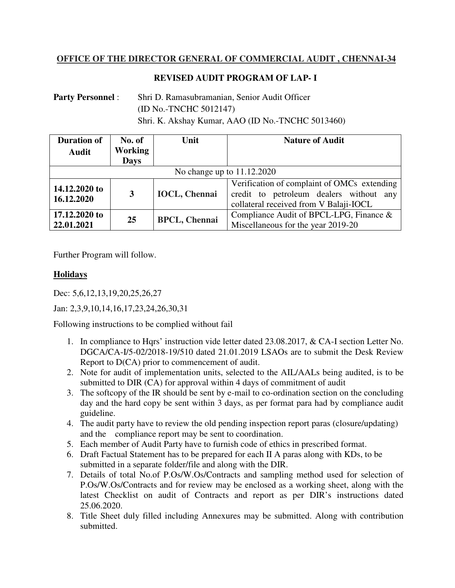## **OFFICE OF THE DIRECTOR GENERAL OF COMMERCIAL AUDIT , CHENNAI-34**

## **REVISED AUDIT PROGRAM OF LAP- I**

**Party Personnel** : Shri D. Ramasubramanian, Senior Audit Officer (ID No.-TNCHC 5012147) Shri. K. Akshay Kumar, AAO (ID No.-TNCHC 5013460)

| <b>Duration of</b><br><b>Audit</b> | No. of<br><b>Working</b> | Unit                 | <b>Nature of Audit</b>                                                                                                           |
|------------------------------------|--------------------------|----------------------|----------------------------------------------------------------------------------------------------------------------------------|
|                                    | <b>Days</b>              |                      |                                                                                                                                  |
| No change up to 11.12.2020         |                          |                      |                                                                                                                                  |
| 14.12.2020 to<br>16.12.2020        | 3                        | <b>IOCL, Chennai</b> | Verification of complaint of OMCs extending<br>credit to petroleum dealers without any<br>collateral received from V Balaji-IOCL |
| 17.12.2020 to<br>22.01.2021        | 25                       | <b>BPCL, Chennai</b> | Compliance Audit of BPCL-LPG, Finance &<br>Miscellaneous for the year 2019-20                                                    |

Further Program will follow.

## **Holidays**

Dec: 5,6,12,13,19,20,25,26,27

Jan: 2,3,9,10,14,16,17,23,24,26,30,31

Following instructions to be complied without fail

- 1. In compliance to Hqrs' instruction vide letter dated 23.08.2017, & CA-I section Letter No. DGCA/CA-I/5-02/2018-19/510 dated 21.01.2019 LSAOs are to submit the Desk Review Report to D(CA) prior to commencement of audit.
- 2. Note for audit of implementation units, selected to the AIL/AALs being audited, is to be submitted to DIR (CA) for approval within 4 days of commitment of audit
- 3. The softcopy of the IR should be sent by e-mail to co-ordination section on the concluding day and the hard copy be sent within 3 days, as per format para had by compliance audit guideline.
- 4. The audit party have to review the old pending inspection report paras (closure/updating) and the compliance report may be sent to coordination.
- 5. Each member of Audit Party have to furnish code of ethics in prescribed format.
- 6. Draft Factual Statement has to be prepared for each II A paras along with KDs, to be submitted in a separate folder/file and along with the DIR.
- 7. Details of total No.of P.Os/W.Os/Contracts and sampling method used for selection of P.Os/W.Os/Contracts and for review may be enclosed as a working sheet, along with the latest Checklist on audit of Contracts and report as per DIR's instructions dated 25.06.2020.
- 8. Title Sheet duly filled including Annexures may be submitted. Along with contribution submitted.